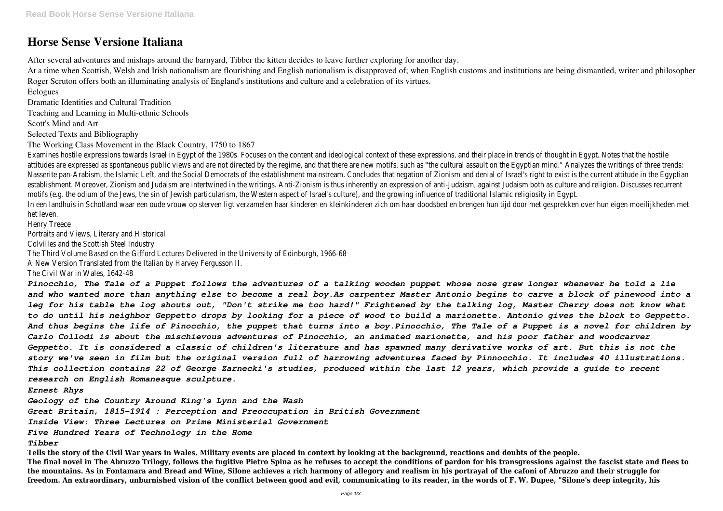## **Horse Sense Versione Italiana**

After several adventures and mishaps around the barnyard, Tibber the kitten decides to leave further exploring for another day.

At a time when Scottish, Welsh and Irish nationalism are flourishing and English nationalism is disapproved of; when English customs and institutions are being dismantled, writer and philosopher Roger Scruton offers both an illuminating analysis of England's institutions and culture and a celebration of its virtues.

Eclogues

Dramatic Identities and Cultural Tradition

Teaching and Learning in Multi-ethnic Schools

Scott's Mind and Art

Selected Texts and Bibliography

The Working Class Movement in the Black Country, 1750 to 1867

Examines hostile expressions towards Israel in Egypt of the 1980s. Focuses on the content and ideological context of these expressions, and their p attitudes are expressed as spontaneous public views and are not directed by the regime, and that there are new motifs, such as "the cultural assau Nasserite pan-Arabism, the Islamic Left, and the Social Democrats of the establishment mainstream. Concludes that negation of Zionism and denial of establishment. Moreover, Zionism and Judaism are intertwined in the writings. Anti-Zionism is thus inherently an expression of anti-Judaism, against Judaism, against motifs (e.g. the odium of the Jews, the sin of Jewish particularism, the Western aspect of Israel's culture), and the growing influence of traditional I In een landhuis in Schotland waar een oude vrouw op sterven ligt verzamelen haar kinderen en kleinkinderen zich om haar doodsbed en brengen hun t het leven.

Henry Treece

Portraits and Views, Literary and Historical

Colvilles and the Scottish Steel Industry

The Third Volume Based on the Gifford Lectures Delivered in the University of Edinburgh, 1966-68

A New Version Translated from the Italian by Harvey Fergusson II.

The Civil War in Wales, 1642-48

*Pinocchio, The Tale of a Puppet follows the adventures of a talking wooden puppet whose nose grew longer whenever he told a lie and who wanted more than anything else to become a real boy.As carpenter Master Antonio begins to carve a block of pinewood into a leg for his table the log shouts out, "Don't strike me too hard!" Frightened by the talking log, Master Cherry does not know what to do until his neighbor Geppetto drops by looking for a piece of wood to build a marionette. Antonio gives the block to Geppetto. And thus begins the life of Pinocchio, the puppet that turns into a boy.Pinocchio, The Tale of a Puppet is a novel for children by Carlo Collodi is about the mischievous adventures of Pinocchio, an animated marionette, and his poor father and woodcarver Geppetto. It is considered a classic of children's literature and has spawned many derivative works of art. But this is not the story we've seen in film but the original version full of harrowing adventures faced by Pinnocchio. It includes 40 illustrations. This collection contains 22 of George Zarnecki's studies, produced within the last 12 years, which provide a guide to recent research on English Romanesque sculpture.*

*Ernest Rhys*

*Geology of the Country Around King's Lynn and the Wash*

*Great Britain, 1815-1914 : Perception and Preoccupation in British Government*

*Inside View: Three Lectures on Prime Ministerial Government*

*Five Hundred Years of Technology in the Home*

*Tibber*

**Tells the story of the Civil War years in Wales. Military events are placed in context by looking at the background, reactions and doubts of the people. The final novel in The Abruzzo Trilogy, follows the fugitive Pietro Spina as he refuses to accept the conditions of pardon for his transgressions against the fascist state and flees to the mountains. As in Fontamara and Bread and Wine, Silone achieves a rich harmony of allegory and realism in his portrayal of the cafoni of Abruzzo and their struggle for freedom. An extraordinary, unburnished vision of the conflict between good and evil, communicating to its reader, in the words of F. W. Dupee, "Silone's deep integrity, his**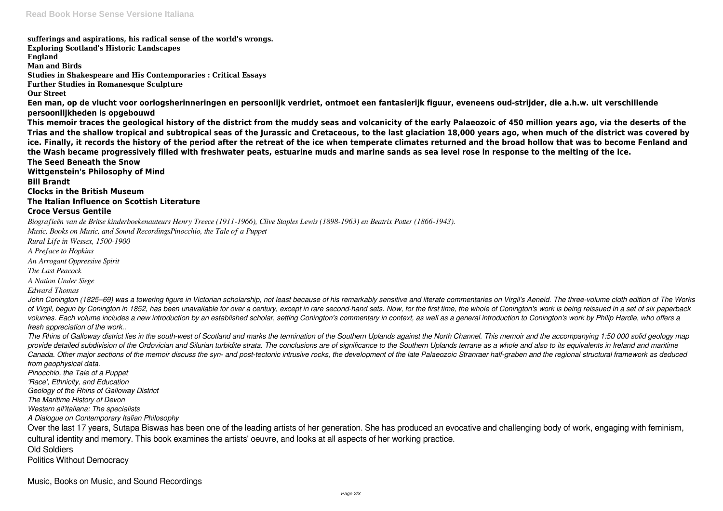**sufferings and aspirations, his radical sense of the world's wrongs. Exploring Scotland's Historic Landscapes England Man and Birds Studies in Shakespeare and His Contemporaries : Critical Essays Further Studies in Romanesque Sculpture Our Street Een man, op de vlucht voor oorlogsherinneringen en persoonlijk verdriet, ontmoet een fantasierijk figuur, eveneens oud-strijder, die a.h.w. uit verschillende persoonlijkheden is opgebouwd This memoir traces the geological history of the district from the muddy seas and volcanicity of the early Palaeozoic of 450 million years ago, via the deserts of the Trias and the shallow tropical and subtropical seas of the Jurassic and Cretaceous, to the last glaciation 18,000 years ago, when much of the district was covered by ice. Finally, it records the history of the period after the retreat of the ice when temperate climates returned and the broad hollow that was to become Fenland and the Wash became progressively filled with freshwater peats, estuarine muds and marine sands as sea level rose in response to the melting of the ice. The Seed Beneath the Snow Wittgenstein's Philosophy of Mind Bill Brandt Clocks in the British Museum The Italian Influence on Scottish Literature Croce Versus Gentile** *Biografieën van de Britse kinderboekenauteurs Henry Treece (1911-1966), Clive Staples Lewis (1898-1963) en Beatrix Potter (1866-1943). Music, Books on Music, and Sound RecordingsPinocchio, the Tale of a Puppet Rural Life in Wessex, 1500-1900*

John Conington (1825–69) was a towering figure in Victorian scholarship, not least because of his remarkably sensitive and literate commentaries on Virgil's Aeneid. The three-volume cloth edition of The Works *of Virgil, begun by Conington in 1852, has been unavailable for over a century, except in rare second-hand sets. Now, for the first time, the whole of Conington's work is being reissued in a set of six paperback volumes. Each volume includes a new introduction by an established scholar, setting Conington's commentary in context, as well as a general introduction to Conington's work by Philip Hardie, who offers a*

*A Preface to Hopkins*

*An Arrogant Oppressive Spirit*

*The Last Peacock*

*A Nation Under Siege Edward Thomas*

*fresh appreciation of the work.. The Rhins of Galloway district lies in the south-west of Scotland and marks the termination of the Southern Uplands against the North Channel. This memoir and the accompanying 1:50 000 solid geology map provide detailed subdivision of the Ordovician and Silurian turbidite strata. The conclusions are of significance to the Southern Uplands terrane as a whole and also to its equivalents in Ireland and maritime Canada. Other major sections of the memoir discuss the syn- and post-tectonic intrusive rocks, the development of the late Palaeozoic Stranraer half-graben and the regional structural framework as deduced from geophysical data.*

*Pinocchio, the Tale of a Puppet*

*'Race', Ethnicity, and Education*

*Geology of the Rhins of Galloway District*

*The Maritime History of Devon*

*Western all'italiana: The specialists*

*A Dialogue on Contemporary Italian Philosophy*

Over the last 17 years, Sutapa Biswas has been one of the leading artists of her generation. She has produced an evocative and challenging body of work, engaging with feminism, cultural identity and memory. This book examines the artists' oeuvre, and looks at all aspects of her working practice.

Old Soldiers

Politics Without Democracy

Music, Books on Music, and Sound Recordings